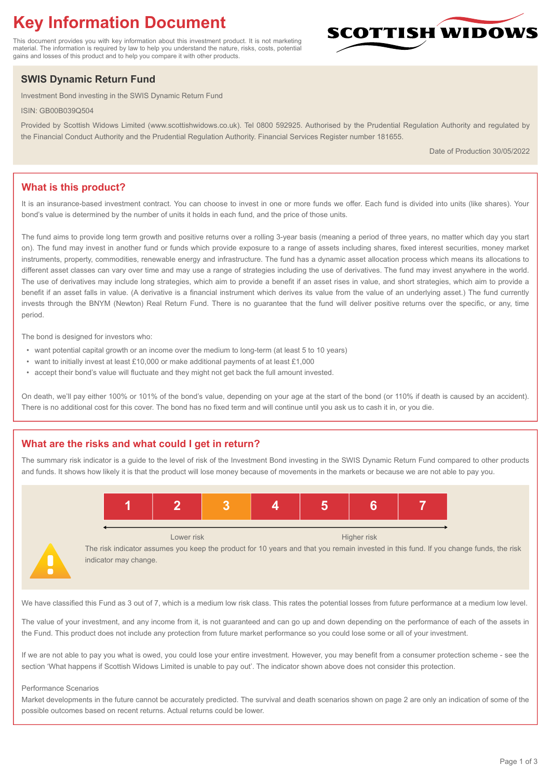# **Key Information Document**

This document provides you with key information about this investment product. It is not marketing material. The information is required by law to help you understand the nature, risks, costs, potential gains and losses of this product and to help you compare it with other products.

## **SWIS Dynamic Return Fund**

Investment Bond investing in the SWIS Dynamic Return Fund

ISIN: GB00B039Q504

Provided by Scottish Widows Limited (www.scottishwidows.co.uk). Tel 0800 592925. Authorised by the Prudential Regulation Authority and regulated by the Financial Conduct Authority and the Prudential Regulation Authority. Financial Services Register number 181655.

Date of Production 30/05/2022

#### **What is this product?**

It is an insurance-based investment contract. You can choose to invest in one or more funds we offer. Each fund is divided into units (like shares). Your bond's value is determined by the number of units it holds in each fund, and the price of those units.

The fund aims to provide long term growth and positive returns over a rolling 3-year basis (meaning a period of three years, no matter which day you start on). The fund may invest in another fund or funds which provide exposure to a range of assets including shares, fixed interest securities, money market instruments, property, commodities, renewable energy and infrastructure. The fund has a dynamic asset allocation process which means its allocations to different asset classes can vary over time and may use a range of strategies including the use of derivatives. The fund may invest anywhere in the world. The use of derivatives may include long strategies, which aim to provide a benefit if an asset rises in value, and short strategies, which aim to provide a benefit if an asset falls in value. (A derivative is a financial instrument which derives its value from the value of an underlying asset.) The fund currently invests through the BNYM (Newton) Real Return Fund. There is no guarantee that the fund will deliver positive returns over the specific, or any, time period

The bond is designed for investors who:

- want potential capital growth or an income over the medium to long-term (at least 5 to 10 years)
- want to initially invest at least £10,000 or make additional payments of at least £1,000
- accept their bond's value will fluctuate and they might not get back the full amount invested.

On death, we'll pay either 100% or 101% of the bond's value, depending on your age at the start of the bond (or 110% if death is caused by an accident). There is no additional cost for this cover. The bond has no fixed term and will continue until you ask us to cash it in, or you die.

### **What are the risks and what could I get in return?**

The summary risk indicator is a guide to the level of risk of the Investment Bond investing in the SWIS Dynamic Return Fund compared to other products and funds. It shows how likely it is that the product will lose money because of movements in the markets or because we are not able to pay you.



The risk indicator assumes you keep the product for 10 years and that you remain invested in this fund. If you change funds, the risk indicator may change.

We have classified this Fund as 3 out of 7, which is a medium low risk class. This rates the potential losses from future performance at a medium low level.

The value of your investment, and any income from it, is not guaranteed and can go up and down depending on the performance of each of the assets in the Fund. This product does not include any protection from future market performance so you could lose some or all of your investment.

If we are not able to pay you what is owed, you could lose your entire investment. However, you may benefit from a consumer protection scheme - see the section 'What happens if Scottish Widows Limited is unable to pay out'. The indicator shown above does not consider this protection.

#### Performance Scenarios

Market developments in the future cannot be accurately predicted. The survival and death scenarios shown on page 2 are only an indication of some of the possible outcomes based on recent returns. Actual returns could be lower.

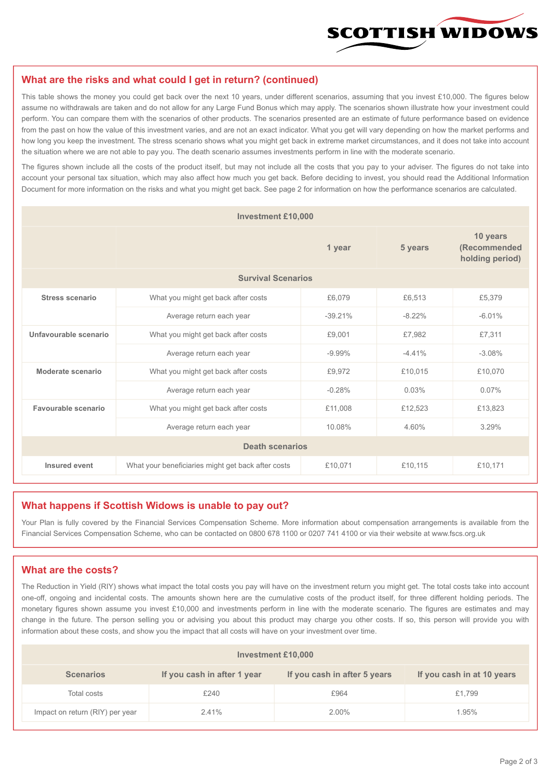

#### **What are the risks and what could I get in return? (continued)**

This table shows the money you could get back over the next 10 years, under different scenarios, assuming that you invest £10,000. The figures below assume no withdrawals are taken and do not allow for any Large Fund Bonus which may apply. The scenarios shown illustrate how your investment could perform. You can compare them with the scenarios of other products. The scenarios presented are an estimate of future performance based on evidence from the past on how the value of this investment varies, and are not an exact indicator. What you get will vary depending on how the market performs and how long you keep the investment. The stress scenario shows what you might get back in extreme market circumstances, and it does not take into account the situation where we are not able to pay you. The death scenario assumes investments perform in line with the moderate scenario.

The figures shown include all the costs of the product itself, but may not include all the costs that you pay to your adviser. The figures do not take into account your personal tax situation, which may also affect how much you get back. Before deciding to invest, you should read the Additional Information Document for more information on the risks and what you might get back. See page 2 for information on how the performance scenarios are calculated.

| <b>Investment £10,000</b> |                                                    |           |          |                                             |  |  |
|---------------------------|----------------------------------------------------|-----------|----------|---------------------------------------------|--|--|
|                           | 1 year                                             |           | 5 years  | 10 years<br>(Recommended<br>holding period) |  |  |
| <b>Survival Scenarios</b> |                                                    |           |          |                                             |  |  |
| <b>Stress scenario</b>    | What you might get back after costs                | £6,079    | £6,513   | £5,379                                      |  |  |
|                           | Average return each year                           | $-39.21%$ | $-8.22%$ | $-6.01%$                                    |  |  |
| Unfavourable scenario     | What you might get back after costs<br>£9,001      |           | £7,982   | £7,311                                      |  |  |
|                           | Average return each year                           | $-9.99%$  | $-4.41%$ | $-3.08%$                                    |  |  |
| Moderate scenario         | What you might get back after costs                | £9,972    | £10,015  | £10,070                                     |  |  |
|                           | Average return each year                           | $-0.28%$  | 0.03%    | $0.07\%$                                    |  |  |
| Favourable scenario       | What you might get back after costs                | £11,008   | £12,523  | £13,823                                     |  |  |
| Average return each year  |                                                    | 10.08%    | 4.60%    | 3.29%                                       |  |  |
| <b>Death scenarios</b>    |                                                    |           |          |                                             |  |  |
| Insured event             | What your beneficiaries might get back after costs | £10,071   | £10,115  | £10,171                                     |  |  |

#### **What happens if Scottish Widows is unable to pay out?**

Your Plan is fully covered by the Financial Services Compensation Scheme. More information about compensation arrangements is available from the Financial Services Compensation Scheme, who can be contacted on 0800 678 1100 or 0207 741 4100 or via their website at www.fscs.org.uk

#### **What are the costs?**

The Reduction in Yield (RIY) shows what impact the total costs you pay will have on the investment return you might get. The total costs take into account one-off, ongoing and incidental costs. The amounts shown here are the cumulative costs of the product itself, for three different holding periods. The monetary figures shown assume you invest £10,000 and investments perform in line with the moderate scenario. The figures are estimates and may change in the future. The person selling you or advising you about this product may charge you other costs. If so, this person will provide you with information about these costs, and show you the impact that all costs will have on your investment over time.

| Investment £10,000              |                             |                              |                            |  |  |  |
|---------------------------------|-----------------------------|------------------------------|----------------------------|--|--|--|
| <b>Scenarios</b>                | If you cash in after 1 year | If you cash in after 5 years | If you cash in at 10 years |  |  |  |
| Total costs                     | £240                        | £964                         | £1,799                     |  |  |  |
| Impact on return (RIY) per year | 2.41%                       | 2.00%                        | 1.95%                      |  |  |  |